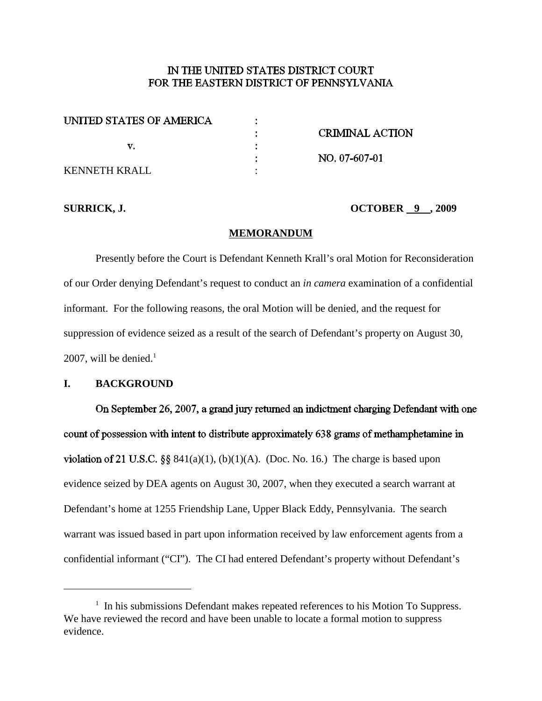# IN THE UNITED STATES DISTRICT COURT FOR THE EASTERN DISTRICT OF PENNSYLVANIA

| <b>CRIMINAL ACTION</b> |
|------------------------|
|                        |
| NO. 07-607-01          |
|                        |
|                        |

## **SURRICK, J. OCTOBER 9 , 2009**

## **MEMORANDUM**

Presently before the Court is Defendant Kenneth Krall's oral Motion for Reconsideration of our Order denying Defendant's request to conduct an *in camera* examination of a confidential informant. For the following reasons, the oral Motion will be denied, and the request for suppression of evidence seized as a result of the search of Defendant's property on August 30, 2007, will be denied. 1

## **I. BACKGROUND**

On September 26, 2007, a grand jury returned an indictment charging Defendant with one count of possession with intent to distribute approximately 638 grams of methamphetamine in violation of 21 U.S.C. §§  $841(a)(1)$ , (b)(1)(A). (Doc. No. 16.) The charge is based upon evidence seized by DEA agents on August 30, 2007, when they executed a search warrant at Defendant's home at 1255 Friendship Lane, Upper Black Eddy, Pennsylvania. The search warrant was issued based in part upon information received by law enforcement agents from a confidential informant ("CI"). The CI had entered Defendant's property without Defendant's

 $1$  In his submissions Defendant makes repeated references to his Motion To Suppress. We have reviewed the record and have been unable to locate a formal motion to suppress evidence.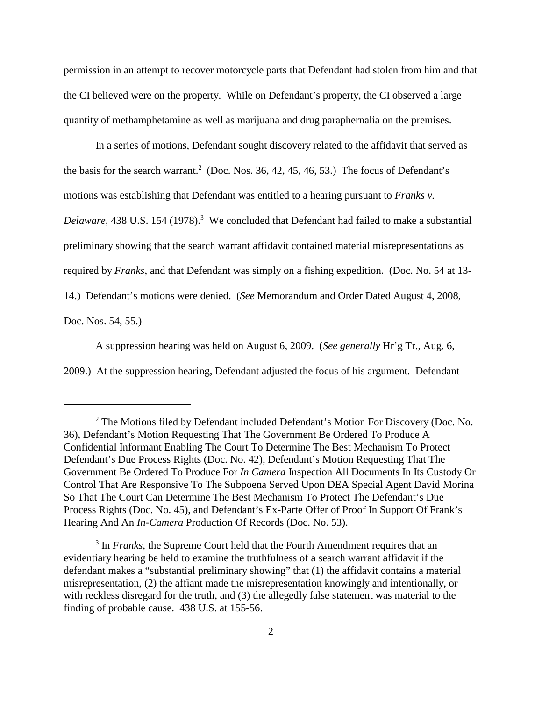permission in an attempt to recover motorcycle parts that Defendant had stolen from him and that the CI believed were on the property. While on Defendant's property, the CI observed a large quantity of methamphetamine as well as marijuana and drug paraphernalia on the premises.

In a series of motions, Defendant sought discovery related to the affidavit that served as the basis for the search warrant. <sup>2</sup> (Doc. Nos. 36, 42, 45, 46, 53.) The focus of Defendant's motions was establishing that Defendant was entitled to a hearing pursuant to *Franks v. Delaware*, 438 U.S. 154 (1978). <sup>3</sup> We concluded that Defendant had failed to make a substantial preliminary showing that the search warrant affidavit contained material misrepresentations as required by *Franks*, and that Defendant was simply on a fishing expedition. (Doc. No. 54 at 13- 14.) Defendant's motions were denied. (*See* Memorandum and Order Dated August 4, 2008, Doc. Nos. 54, 55.)

A suppression hearing was held on August 6, 2009. (*See generally* Hr'g Tr., Aug. 6, 2009.) At the suppression hearing, Defendant adjusted the focus of his argument*.* Defendant

<sup>2</sup> The Motions filed by Defendant included Defendant's Motion For Discovery (Doc. No. 36), Defendant's Motion Requesting That The Government Be Ordered To Produce A Confidential Informant Enabling The Court To Determine The Best Mechanism To Protect Defendant's Due Process Rights (Doc. No. 42), Defendant's Motion Requesting That The Government Be Ordered To Produce For *In Camera* Inspection All Documents In Its Custody Or Control That Are Responsive To The Subpoena Served Upon DEA Special Agent David Morina So That The Court Can Determine The Best Mechanism To Protect The Defendant's Due Process Rights (Doc. No. 45), and Defendant's Ex-Parte Offer of Proof In Support Of Frank's Hearing And An *In-Camera* Production Of Records (Doc. No. 53).

<sup>&</sup>lt;sup>3</sup> In *Franks*, the Supreme Court held that the Fourth Amendment requires that an evidentiary hearing be held to examine the truthfulness of a search warrant affidavit if the defendant makes a "substantial preliminary showing" that (1) the affidavit contains a material misrepresentation, (2) the affiant made the misrepresentation knowingly and intentionally, or with reckless disregard for the truth, and (3) the allegedly false statement was material to the finding of probable cause. 438 U.S. at 155-56.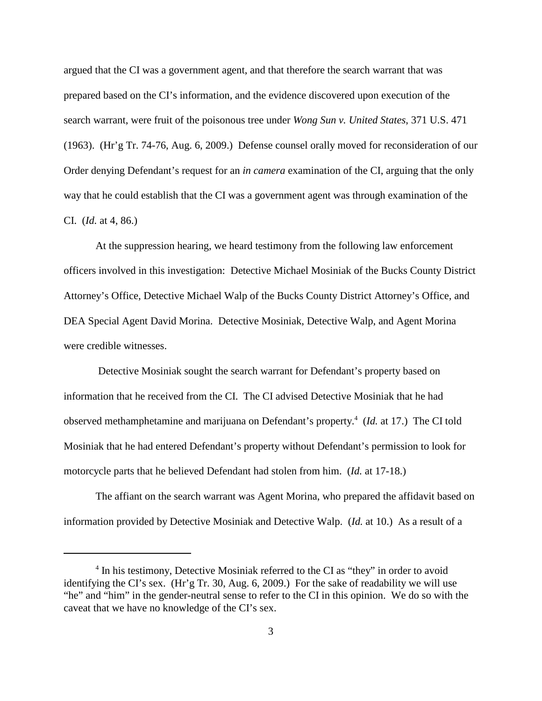argued that the CI was a government agent, and that therefore the search warrant that was prepared based on the CI's information, and the evidence discovered upon execution of the search warrant, were fruit of the poisonous tree under *Wong Sun v. United States*, 371 U.S. 471 (1963). (Hr'g Tr. 74-76, Aug. 6, 2009.) Defense counsel orally moved for reconsideration of our Order denying Defendant's request for an *in camera* examination of the CI, arguing that the only way that he could establish that the CI was a government agent was through examination of the CI. (*Id.* at 4, 86.)

At the suppression hearing, we heard testimony from the following law enforcement officers involved in this investigation: Detective Michael Mosiniak of the Bucks County District Attorney's Office, Detective Michael Walp of the Bucks County District Attorney's Office, and DEA Special Agent David Morina. Detective Mosiniak, Detective Walp, and Agent Morina were credible witnesses.

Detective Mosiniak sought the search warrant for Defendant's property based on information that he received from the CI. The CI advised Detective Mosiniak that he had observed methamphetamine and marijuana on Defendant's property. <sup>4</sup> (*Id.* at 17.) The CI told Mosiniak that he had entered Defendant's property without Defendant's permission to look for motorcycle parts that he believed Defendant had stolen from him. (*Id.* at 17-18.)

The affiant on the search warrant was Agent Morina, who prepared the affidavit based on information provided by Detective Mosiniak and Detective Walp. (*Id.* at 10.) As a result of a

<sup>&</sup>lt;sup>4</sup> In his testimony, Detective Mosiniak referred to the CI as "they" in order to avoid identifying the CI's sex. (Hr'g Tr. 30, Aug. 6, 2009.) For the sake of readability we will use "he" and "him" in the gender-neutral sense to refer to the CI in this opinion. We do so with the caveat that we have no knowledge of the CI's sex.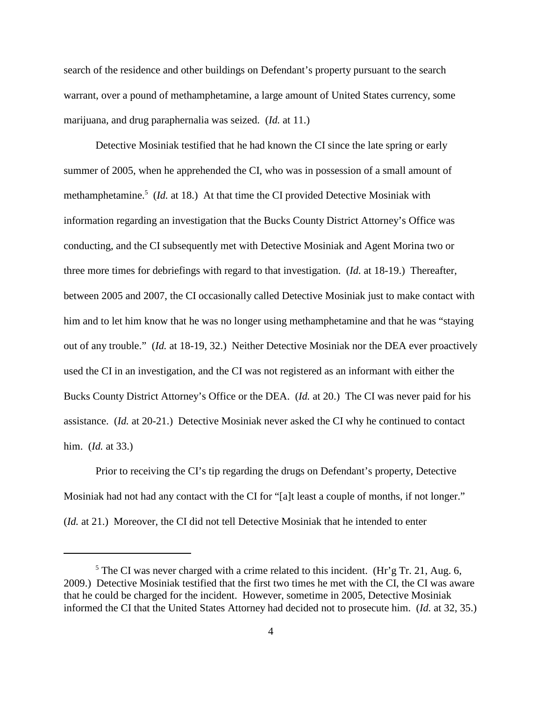search of the residence and other buildings on Defendant's property pursuant to the search warrant, over a pound of methamphetamine, a large amount of United States currency, some marijuana, and drug paraphernalia was seized. (*Id.* at 11.)

Detective Mosiniak testified that he had known the CI since the late spring or early summer of 2005, when he apprehended the CI, who was in possession of a small amount of methamphetamine. <sup>5</sup> (*Id.* at 18.) At that time the CI provided Detective Mosiniak with information regarding an investigation that the Bucks County District Attorney's Office was conducting, and the CI subsequently met with Detective Mosiniak and Agent Morina two or three more times for debriefings with regard to that investigation. (*Id.* at 18-19.) Thereafter, between 2005 and 2007, the CI occasionally called Detective Mosiniak just to make contact with him and to let him know that he was no longer using methamphetamine and that he was "staying out of any trouble." (*Id.* at 18-19, 32.) Neither Detective Mosiniak nor the DEA ever proactively used the CI in an investigation, and the CI was not registered as an informant with either the Bucks County District Attorney's Office or the DEA. (*Id.* at 20.) The CI was never paid for his assistance. (*Id.* at 20-21.) Detective Mosiniak never asked the CI why he continued to contact him. (*Id.* at 33.)

Prior to receiving the CI's tip regarding the drugs on Defendant's property, Detective Mosiniak had not had any contact with the CI for "[a]t least a couple of months, if not longer." (*Id.* at 21.) Moreover, the CI did not tell Detective Mosiniak that he intended to enter

 $5$  The CI was never charged with a crime related to this incident. (Hr'g Tr. 21, Aug. 6, 2009.) Detective Mosiniak testified that the first two times he met with the CI, the CI was aware that he could be charged for the incident. However, sometime in 2005, Detective Mosiniak informed the CI that the United States Attorney had decided not to prosecute him. (*Id.* at 32, 35.)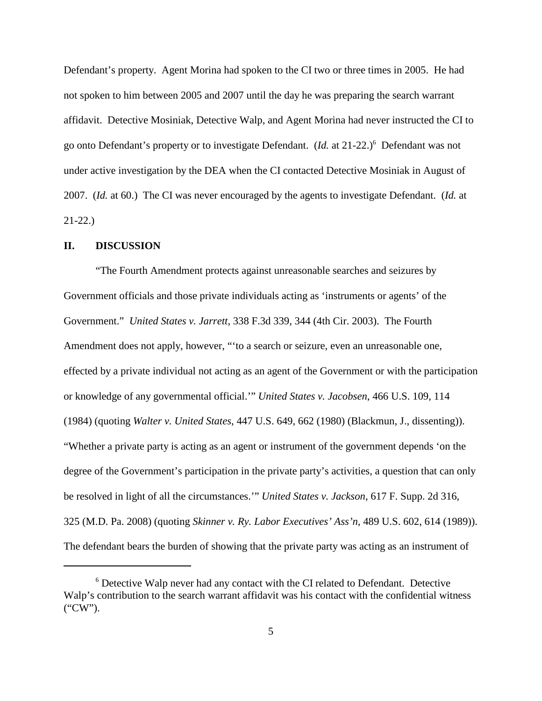Defendant's property. Agent Morina had spoken to the CI two or three times in 2005. He had not spoken to him between 2005 and 2007 until the day he was preparing the search warrant affidavit. Detective Mosiniak, Detective Walp, and Agent Morina had never instructed the CI to go onto Defendant's property or to investigate Defendant. (*Id.* at 21-22.) <sup>6</sup> Defendant was not under active investigation by the DEA when the CI contacted Detective Mosiniak in August of 2007. (*Id.* at 60.) The CI was never encouraged by the agents to investigate Defendant. (*Id.* at 21-22.)

## **II. DISCUSSION**

"The Fourth Amendment protects against unreasonable searches and seizures by Government officials and those private individuals acting as 'instruments or agents' of the Government." *United States v. Jarrett*, 338 F.3d 339, 344 (4th Cir. 2003). The Fourth Amendment does not apply, however, "'to a search or seizure, even an unreasonable one, effected by a private individual not acting as an agent of the Government or with the participation or knowledge of any governmental official.'" *United States v. Jacobsen*, 466 U.S. 109, 114 (1984) (quoting *Walter v. United States*, 447 U.S. 649, 662 (1980) (Blackmun, J., dissenting)). "Whether a private party is acting as an agent or instrument of the government depends 'on the degree of the Government's participation in the private party's activities, a question that can only be resolved in light of all the circumstances.'" *United States v. Jackson*, 617 F. Supp. 2d 316, 325 (M.D. Pa. 2008) (quoting *Skinner v. Ry. Labor Executives' Ass'n*, 489 U.S. 602, 614 (1989)). The defendant bears the burden of showing that the private party was acting as an instrument of

<sup>6</sup> Detective Walp never had any contact with the CI related to Defendant. Detective Walp's contribution to the search warrant affidavit was his contact with the confidential witness ("CW").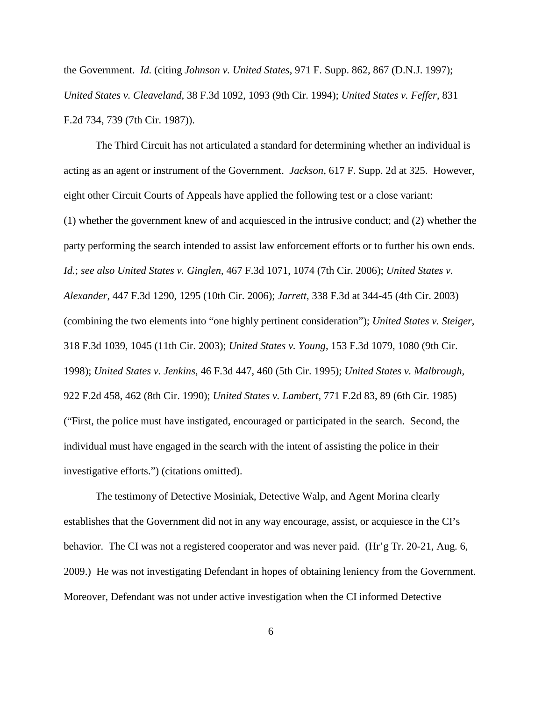the Government. *Id.* (citing *Johnson v. United States*, 971 F. Supp. 862, 867 (D.N.J. 1997); *United States v. Cleaveland*, 38 F.3d 1092, 1093 (9th Cir. 1994); *United States v. Feffer*, 831 F.2d 734, 739 (7th Cir. 1987)).

The Third Circuit has not articulated a standard for determining whether an individual is acting as an agent or instrument of the Government. *Jackson*, 617 F. Supp. 2d at 325. However, eight other Circuit Courts of Appeals have applied the following test or a close variant: (1) whether the government knew of and acquiesced in the intrusive conduct; and (2) whether the party performing the search intended to assist law enforcement efforts or to further his own ends. *Id.*; *see also United States v. Ginglen*, 467 F.3d 1071, 1074 (7th Cir. 2006); *United States v. Alexander*, 447 F.3d 1290, 1295 (10th Cir. 2006); *Jarrett*, 338 F.3d at 344-45 (4th Cir. 2003) (combining the two elements into "one highly pertinent consideration"); *United States v. Steiger*, 318 F.3d 1039, 1045 (11th Cir. 2003); *United States v. Young*, 153 F.3d 1079, 1080 (9th Cir. 1998); *United States v. Jenkins*, 46 F.3d 447, 460 (5th Cir. 1995); *United States v. Malbrough*, 922 F.2d 458, 462 (8th Cir. 1990); *United States v. Lambert*, 771 F.2d 83, 89 (6th Cir. 1985) ("First, the police must have instigated, encouraged or participated in the search. Second, the individual must have engaged in the search with the intent of assisting the police in their investigative efforts.") (citations omitted).

The testimony of Detective Mosiniak, Detective Walp, and Agent Morina clearly establishes that the Government did not in any way encourage, assist, or acquiesce in the CI's behavior. The CI was not a registered cooperator and was never paid. (Hr'g Tr. 20-21, Aug. 6, 2009.) He was not investigating Defendant in hopes of obtaining leniency from the Government. Moreover, Defendant was not under active investigation when the CI informed Detective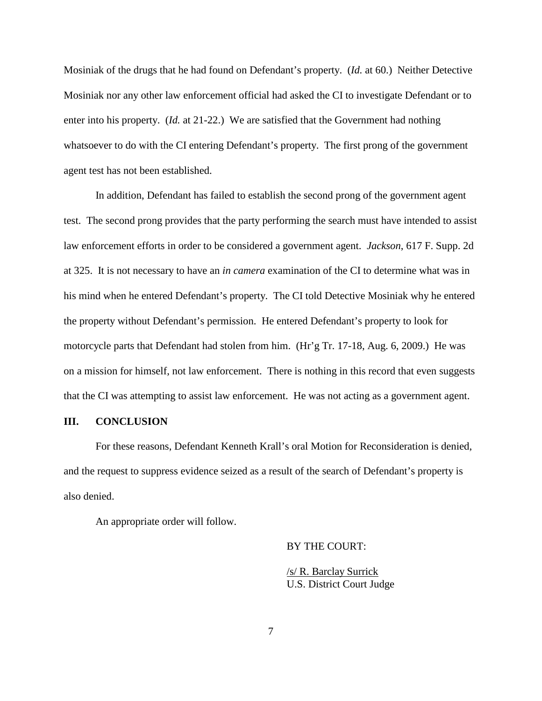Mosiniak of the drugs that he had found on Defendant's property. (*Id.* at 60.) Neither Detective Mosiniak nor any other law enforcement official had asked the CI to investigate Defendant or to enter into his property. (*Id.* at 21-22.) We are satisfied that the Government had nothing whatsoever to do with the CI entering Defendant's property. The first prong of the government agent test has not been established.

In addition, Defendant has failed to establish the second prong of the government agent test. The second prong provides that the party performing the search must have intended to assist law enforcement efforts in order to be considered a government agent. *Jackson*, 617 F. Supp. 2d at 325. It is not necessary to have an *in camera* examination of the CI to determine what was in his mind when he entered Defendant's property. The CI told Detective Mosiniak why he entered the property without Defendant's permission. He entered Defendant's property to look for motorcycle parts that Defendant had stolen from him. (Hr'g Tr. 17-18, Aug. 6, 2009.) He was on a mission for himself, not law enforcement. There is nothing in this record that even suggests that the CI was attempting to assist law enforcement. He was not acting as a government agent.

## **III. CONCLUSION**

For these reasons, Defendant Kenneth Krall's oral Motion for Reconsideration is denied, and the request to suppress evidence seized as a result of the search of Defendant's property is also denied.

An appropriate order will follow.

BY THE COURT:

/s/ R. Barclay Surrick U.S. District Court Judge